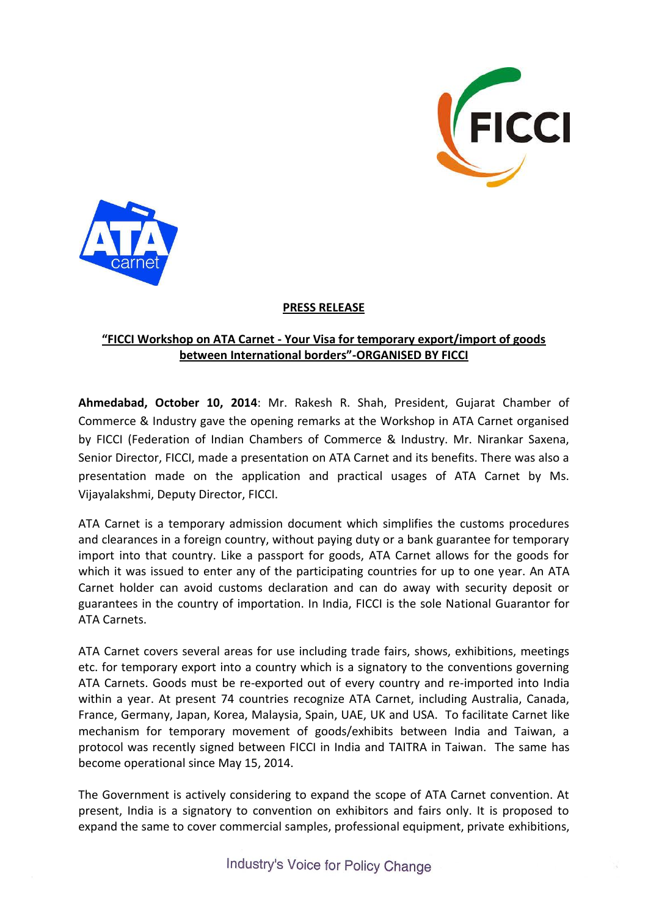



## **PRESS RELEASE**

## **"FICCI Workshop on ATA Carnet - Your Visa for temporary export/import of goods between International borders"-ORGANISED BY FICCI**

**Ahmedabad, October 10, 2014**: Mr. Rakesh R. Shah, President, Gujarat Chamber of Commerce & Industry gave the opening remarks at the Workshop in ATA Carnet organised by FICCI (Federation of Indian Chambers of Commerce & Industry. Mr. Nirankar Saxena, Senior Director, FICCI, made a presentation on ATA Carnet and its benefits. There was also a presentation made on the application and practical usages of ATA Carnet by Ms. Vijayalakshmi, Deputy Director, FICCI.

ATA Carnet is a temporary admission document which simplifies the customs procedures and clearances in a foreign country, without paying duty or a bank guarantee for temporary import into that country. Like a passport for goods, ATA Carnet allows for the goods for which it was issued to enter any of the participating countries for up to one year. An ATA Carnet holder can avoid customs declaration and can do away with security deposit or guarantees in the country of importation. In India, FICCI is the sole National Guarantor for ATA Carnets.

ATA Carnet covers several areas for use including trade fairs, shows, exhibitions, meetings etc. for temporary export into a country which is a signatory to the conventions governing ATA Carnets. Goods must be re-exported out of every country and re-imported into India within a year. At present 74 countries recognize ATA Carnet, including Australia, Canada, France, Germany, Japan, Korea, Malaysia, Spain, UAE, UK and USA. To facilitate Carnet like mechanism for temporary movement of goods/exhibits between India and Taiwan, a protocol was recently signed between FICCI in India and TAITRA in Taiwan. The same has become operational since May 15, 2014.

The Government is actively considering to expand the scope of ATA Carnet convention. At present, India is a signatory to convention on exhibitors and fairs only. It is proposed to expand the same to cover commercial samples, professional equipment, private exhibitions,